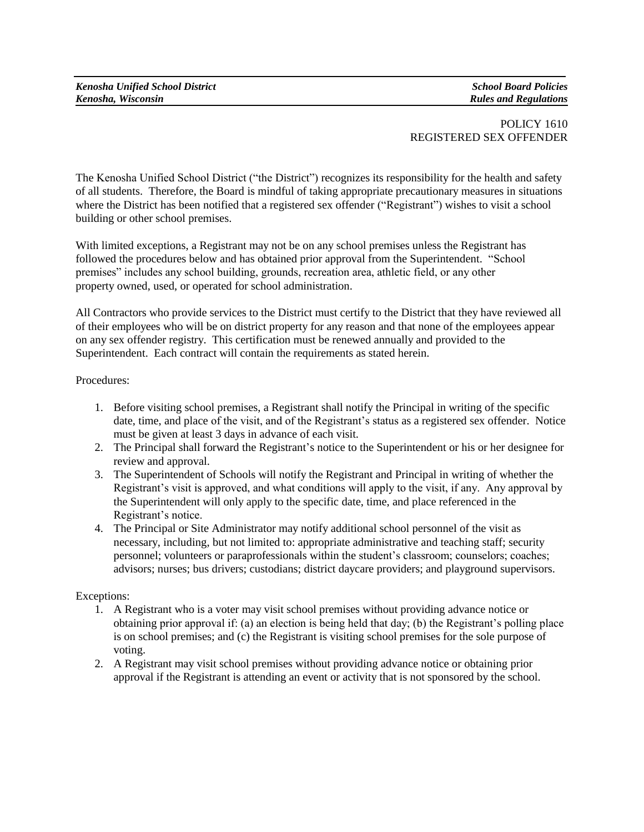## POLICY 1610 REGISTERED SEX OFFENDER

The Kenosha Unified School District ("the District") recognizes its responsibility for the health and safety of all students. Therefore, the Board is mindful of taking appropriate precautionary measures in situations where the District has been notified that a registered sex offender ("Registrant") wishes to visit a school building or other school premises.

With limited exceptions, a Registrant may not be on any school premises unless the Registrant has followed the procedures below and has obtained prior approval from the Superintendent. "School premises" includes any school building, grounds, recreation area, athletic field, or any other property owned, used, or operated for school administration.

All Contractors who provide services to the District must certify to the District that they have reviewed all of their employees who will be on district property for any reason and that none of the employees appear on any sex offender registry. This certification must be renewed annually and provided to the Superintendent. Each contract will contain the requirements as stated herein.

## Procedures:

- 1. Before visiting school premises, a Registrant shall notify the Principal in writing of the specific date, time, and place of the visit, and of the Registrant's status as a registered sex offender. Notice must be given at least 3 days in advance of each visit.
- 2. The Principal shall forward the Registrant's notice to the Superintendent or his or her designee for review and approval.
- 3. The Superintendent of Schools will notify the Registrant and Principal in writing of whether the Registrant's visit is approved, and what conditions will apply to the visit, if any. Any approval by the Superintendent will only apply to the specific date, time, and place referenced in the Registrant's notice.
- 4. The Principal or Site Administrator may notify additional school personnel of the visit as necessary, including, but not limited to: appropriate administrative and teaching staff; security personnel; volunteers or paraprofessionals within the student's classroom; counselors; coaches; advisors; nurses; bus drivers; custodians; district daycare providers; and playground supervisors.

## Exceptions:

- 1. A Registrant who is a voter may visit school premises without providing advance notice or obtaining prior approval if: (a) an election is being held that day; (b) the Registrant's polling place is on school premises; and (c) the Registrant is visiting school premises for the sole purpose of voting.
- 2. A Registrant may visit school premises without providing advance notice or obtaining prior approval if the Registrant is attending an event or activity that is not sponsored by the school.